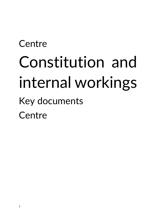# **Centre** Constitution and internal workings Key documents **Centre**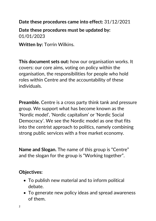**Date these procedures came into effect:** 31/12/2021

**Date these procedures must be updated by:** 01/01/2023

**Written by:** Torrin Wilkins.

**This document sets out:** how our organisation works. It covers: our core aims, voting on policy within the organisation, the responsibilities for people who hold roles within Centre and the accountability of these individuals.

**Preamble.** Centre is a cross party think tank and pressure group. We support what has become known as the 'Nordic model', 'Nordic capitalism' or 'Nordic Social Democracy'. We see the Nordic model as one that fits into the centrist approach to politics, namely combining strong public services with a free market economy.

**Name and Slogan.** The name of this group is "Centre" and the slogan for the group is "Working together".

## **Objectives:**

- To publish new material and to inform political debate.
- To generate new policy ideas and spread awareness of them.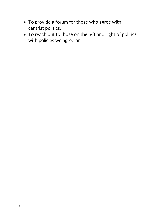- To provide a forum for those who agree with centrist politics.
- To reach out to those on the left and right of politics with policies we agree on.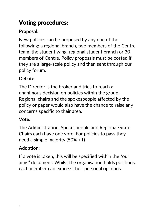# Voting procedures:

# **Proposal:**

New policies can be proposed by any one of the following: a regional branch, two members of the Centre team, the student wing, regional student branch or 30 members of Centre. Policy proposals must be costed if they are a large-scale policy and then sent through our policy forum.

# **Debate:**

The Director is the broker and tries to reach a unanimous decision on policies within the group. Regional chairs and the spokespeople affected by the policy or paper would also have the chance to raise any concerns specific to their area.

# **Vote:**

The Administration, Spokespeople and Regional/State Chairs each have one vote. For policies to pass they need a simple majority (50% +1)

# **Adoption:**

If a vote is taken, this will be specified within the "our aims" document. Whilst the organisation holds positions, each member can express their personal opinions.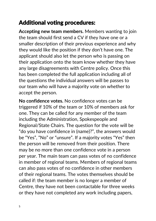# Additional voting procedures:

**Accepting new team members.** Members wanting to join the team should first send a CV if they have one or a smaller description of their previous experience and why they would like the position if they don't have one. The applicant should also let the person who is passing on their application onto the team know whether they have any large disagreements with Centre policy. Once this has been completed the full application including all of the questions the individual answers will be passes to our team who will have a majority vote on whether to accept the person.

**No confidence votes.** No confidence votes can be triggered if 10% of the team or 10% of members ask for one. They can be called for any member of the team including the Administration, Spokespeople and Regional/State Chairs. The question for the vote will be "do you have confidence in (name)?", the answers would be "Yes", "No" or "unsure". If a majority votes "Yes" then the person will be removed from their position. There may be no more than one confidence vote in a person per year. The main team can pass votes of no confidence in member of regional teams. Members of regional teams can also pass votes of no confidence in other members of their regional teams. The votes themselves should be called if: the team member is no longer a member of Centre, they have not been contactable for three weeks or they have not completed any work including papers,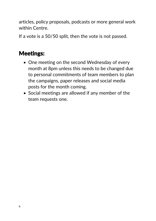articles, policy proposals, podcasts or more general work within Centre.

If a vote is a 50/50 split, then the vote is not passed.

# Meetings:

- One meeting on the second Wednesday of every month at 8pm unless this needs to be changed due to personal commitments of team members to plan the campaigns, paper releases and social media posts for the month coming.
- Social meetings are allowed if any member of the team requests one.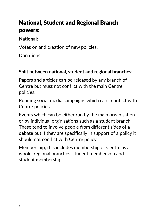# National, Student and Regional Branch powers:

## **National:**

Votes on and creation of new policies.

Donations.

# **Split between national, student and regional branches:**

Papers and articles can be released by any branch of Centre but must not conflict with the main Centre policies.

Running social media campaigns which can't conflict with Centre policies.

Events which can be either run by the main organisation or by individual orginisations such as a student branch. These tend to involve people from different sides of a debate but if they are specifically in support of a policy it should not conflict with Centre policy.

Membership, this includes membership of Centre as a whole, regional branches, student membership and student membership.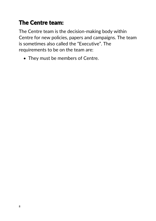# The Centre team:

The Centre team is the decision-making body within Centre for new policies, papers and campaigns. The team is sometimes also called the "Executive". The requirements to be on the team are:

• They must be members of Centre.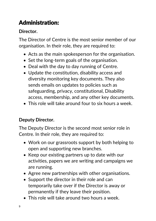# Administration:

# **Director.**

The Director of Centre is the most senior member of our organisation. In their role, they are required to:

- Acts as the main spokesperson for the organisation.
- Set the long-term goals of the organisation.
- Deal with the day to day running of Centre.
- Update the constitution, disability access and diversity monitoring key documents. They also sends emails on updates to policies such as safeguarding, privacy, constitutional, Disability access, membership, and any other key documents.
- This role will take around four to six hours a week.

# **Deputy Director.**

The Deputy Director is the second most senior role in Centre. In their role, they are required to:

- Work on our grassroots support by both helping to open and supporting new branches.
- Keep our existing partners up to date with our activities, papers we are writing and campaigns we are running.
- Agree new partnerships with other organisations.
- Support the director in their role and can temporarily take over if the Director is away or permanently if they leave their position.
- This role will take around two hours a week.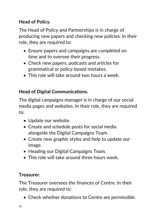# **Head of Policy.**

The Head of Policy and Partnerships is in charge of producing new papers and checking new policies. In their role, they are required to:

- Ensure papers and campaigns are completed on time and to oversee their progress.
- Check new papers, podcasts and articles for grammatical or policy-based mistakes.
- This role will take around two hours a week.

## **Head of Digital Communications.**

The digital campaigns manager is in charge of our social media pages and websites. In their role, they are required to:

- Update our website.
- Create and schedule posts for social media alongside the Digital Campaigns Team.
- Create new graphic styles and help to update our image.
- Heading our Digital Campaigns Team.
- This role will take around three hours week.

## **Treasurer.**

The Treasurer oversees the finances of Centre. In their role, they are required to:

• Check whether donations to Centre are permissible.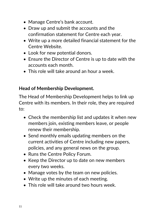- Manage Centre's bank account.
- Draw up and submit the accounts and the confirmation statement for Centre each year.
- Write up a more detailed financial statement for the Centre Website.
- Look for new potential donors.
- Ensure the Director of Centre is up to date with the accounts each month.
- This role will take around an hour a week.

## **Head of Membership Development.**

The Head of Membership Development helps to link up Centre with its members. In their role, they are required to:

- Check the membership list and updates it when new members join, existing members leave, or people renew their membership.
- Send monthly emails updating members on the current activities of Centre including new papers, policies, and any general news on the group.
- Runs the Centre Policy Forum.
- Keep the Director up to date on new members every two weeks.
- Manage votes by the team on new policies.
- Write up the minutes of each meeting.
- This role will take around two hours week.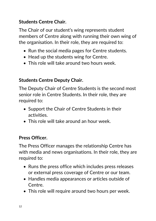## **Students Centre Chair.**

The Chair of our student's wing represents student members of Centre along with running their own wing of the organisation. In their role, they are required to:

- Run the social media pages for Centre students.
- Head up the students wing for Centre.
- This role will take around two hours week.

## **Students Centre Deputy Chair.**

The Deputy Chair of Centre Students is the second most senior role in Centre Students. In their role, they are required to:

- Support the Chair of Centre Students in their activities.
- This role will take around an hour week.

## **Press Officer.**

The Press Officer manages the relationship Centre has with media and news organisations. In their role, they are required to:

- Runs the press office which includes press releases or external press coverage of Centre or our team.
- Handles media appearances or articles outside of Centre.
- This role will require around two hours per week.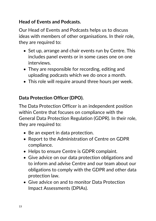## **Head of Events and Podcasts.**

Our Head of Events and Podcasts helps us to discuss ideas with members of other organisations. In their role, they are required to:

- Set up, arrange and chair events run by Centre. This includes panel events or in some cases one on one interviews.
- They are responsible for recording, editing and uploading podcasts which we do once a month.
- This role will require around three hours per week.

## **Data Protection Officer (DPO).**

The Data Protection Officer is an independent position within Centre that focuses on compliance with the General Data Protection Regulation (GDPR). In their role, they are required to:

- Be an expert in data protection.
- Report to the Administration of Centre on GDPR compliance.
- Helps to ensure Centre is GDPR complaint.
- Give advice on our data protection obligations and to inform and advise Centre and our team about our obligations to comply with the GDPR and other data protection law.
- Give advice on and to monitor Data Protection Impact Assessments (DPIAs).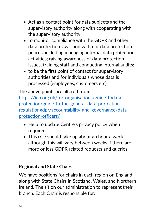- Act as a contact point for data subjects and the supervisory authority along with cooperating with the supervisory authority.
- to monitor compliance with the GDPR and other data protection laws, and with our data protection polices, including managing internal data protection activities; raising awareness of data protection issues, training staff and conducting internal audits;
- to be the first point of contact for supervisory authorities and for individuals whose data is processed (employees, customers etc).

The above points are altered from:

[https://ico.org.uk/for-organisations/guide-todata](https://ico.org.uk/for-organisations/guide-todata-protection/guide-to-the-general-data-protection-regulationgdpr/accountability-and-governance/data-protection-officers/)[protection/guide-to-the-general-data-protection](https://ico.org.uk/for-organisations/guide-todata-protection/guide-to-the-general-data-protection-regulationgdpr/accountability-and-governance/data-protection-officers/)[regulationgdpr/accountability-and-governance/data](https://ico.org.uk/for-organisations/guide-todata-protection/guide-to-the-general-data-protection-regulationgdpr/accountability-and-governance/data-protection-officers/)[protection-officers/](https://ico.org.uk/for-organisations/guide-todata-protection/guide-to-the-general-data-protection-regulationgdpr/accountability-and-governance/data-protection-officers/)

- Help to update Centre's privacy policy when required.
- This role should take up about an hour a week although this will vary between weeks if there are more or less GDPR related requests and queries.

## **Regional and State Chairs.**

We have positions for chairs in each region on England along with State Chairs in Scotland, Wales, and Northern Ireland. The sit on our administration to represent their branch. Each Chair is responsible for: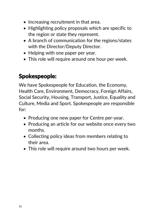- Increasing recruitment in that area.
- Highlighting policy proposals which are specific to the region or state they represent.
- A branch of communication for the regions/states with the Director/Deputy Director.
- Helping with one paper per year.
- This role will require around one hour per week.

# Spokespeople:

We have Spokespeople for Education, the Economy, Health Care, Environment, Democracy, Foreign Affairs, Social Security, Housing, Transport, Justice, Equality and Culture, Media and Sport. Spokespeople are responsible for:

- Producing one new paper for Centre per-year.
- Producing an article for our website once every two months.
- Collecting policy ideas from members relating to their area.
- This role will require around two hours per week.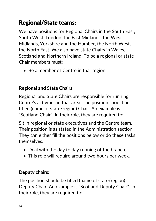# Regional/State teams:

We have positions for Regional Chairs in the South East, South West, London, the East Midlands, the West Midlands, Yorkshire and the Humber, the North West, the North East. We also have state Chairs in Wales, Scotland and Northern Ireland. To be a regional or state Chair members must:

• Be a member of Centre in that region.

## **Regional and State Chairs:**

Regional and State Chairs are responsible for running Centre's activities in that area. The position should be titled (name of state/region) Chair. An example is "Scotland Chair". In their role, they are required to:

Sit in regional or state executives and the Centre team. Their position is as stated in the Administration section. They can either fill the positions below or do these tasks themselves.

- Deal with the day to day running of the branch.
- This role will require around two hours per week.

## **Deputy chairs:**

The position should be titled (name of state/region) Deputy Chair. An example is "Scotland Deputy Chair". In their role, they are required to: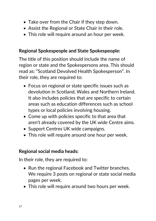- Take over from the Chair if they step down.
- Assist the Regional or State Chair in their role.
- This role will require around an hour per week.

#### **Regional Spokespeople and State Spokespeople:**

The title of this position should include the name of region or state and the Spokespersons area. This should read as: "Scotland Devolved Health Spokesperson". In their role, they are required to:

- Focus on regional or state specific issues such as devolution in Scotland, Wales and Northern Ireland. It also includes policies that are specific to certain areas such as education differences such as school types or local policies involving housing.
- Come up with policies specific to that area that aren't already covered by the UK wide Centre aims.
- Support Centres UK wide campaigns.
- This role will require around one hour per week.

#### **Regional social media heads:**

- Run the regional Facebook and Twitter branches. We require 3 posts on regional or state social media pages per week.
- This role will require around two hours per week.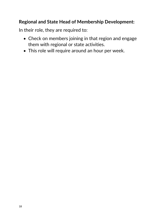#### **Regional and State Head of Membership Development:**

- Check on members joining in that region and engage them with regional or state activities.
- This role will require around an hour per week.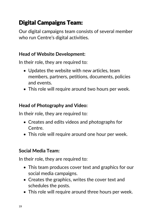# Digital Campaigns Team:

Our digital campaigns team consists of several member who run Centre's digital activities.

## **Head of Website Development:**

In their role, they are required to:

- Updates the website with new articles, team members, partners, petitions, documents, policies and events.
- This role will require around two hours per week.

## **Head of Photography and Video:**

In their role, they are required to:

- Creates and edits videos and photographs for Centre.
- This role will require around one hour per week.

## **Social Media Team:**

- This team produces cover text and graphics for our social media campaigns.
- Creates the graphics, writes the cover text and schedules the posts.
- This role will require around three hours per week.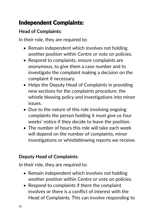# Independent Complaints:

## **Head of Complaints:**

In their role, they are required to:

- Remain independent which involves not holding another position within Centre or vote on policies.
- Respond to complaints, ensure complaints are anonymous, to give them a case number and to investigate the complaint making a decision on the complaint if necessary.
- Helps the Deputy Head of Complaints in providing new sections for the complaints procedure, the whistle blowing policy and investigations into minor issues.
- Due to the nature of this role involving ongoing complaints the person holding it must give us four weeks' notice if they decide to leave the position.
- The number of hours this role will take each week will depend on the number of complaints, minor investigations or whistleblowing reports we receive.

## **Deputy Head of Complaints:**

- Remain independent which involves not holding another position within Centre or vote on policies.
- Respond to complaints if there the complaint involves or there is a conflict of interest with the Head of Complaints. This can involve responding to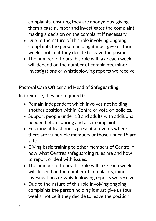complaints, ensuring they are anonymous, giving them a case number and investigates the complaint making a decision on the complaint if necessary.

- Due to the nature of this role involving ongoing complaints the person holding it must give us four weeks' notice if they decide to leave the position.
- The number of hours this role will take each week will depend on the number of complaints, minor investigations or whistleblowing reports we receive.

#### **Pastoral Care Officer and Head of Safeguarding:**

- Remain independent which involves not holding another position within Centre or vote on policies.
- Support people under 18 and adults with additional needed before, during and after complaints.
- Ensuring at least one is present at events where there are vulnerable members or those under 18 are safe.
- Giving basic training to other members of Centre in how what Centres safeguarding rules are and how to report or deal with issues.
- The number of hours this role will take each week will depend on the number of complaints, minor investigations or whistleblowing reports we receive.
- Due to the nature of this role involving ongoing complaints the person holding it must give us four weeks' notice if they decide to leave the position.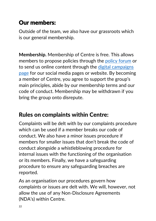# Our members:

Outside of the team, we also have our grassroots which is our general membership.

**Membership.** Membership of Centre is free. This allows members to propose policies through the [policy forum](https://www.facebook.com/groups/CentrePolicyForum) or to send us online content through the [digital campaigns](https://www.facebook.com/groups/696284520803848)  [page](https://www.facebook.com/groups/696284520803848) for our social media pages or website. By becoming a member of Centre, you agree to support the group's main principles, abide by our membership terms and our code of conduct. Membership may be withdrawn if you bring the group onto disrepute.

# Rules on complaints within Centre:

Complaints will be delt with by our complaints procedure which can be used if a member breaks our code of conduct. We also have a minor issues procedure if members for smaller issues that don't break the code of conduct alongside a whistleblowing procedure for internal issues with the functioning of the organisation or its members. Finally, we have a safeguarding procedure to ensure any safeguarding breaches are reported.

As an organisation our procedures govern how complaints or issues are delt with. We will, however, not allow the use of any Non-Disclosure Agreements (NDA's) within Centre.